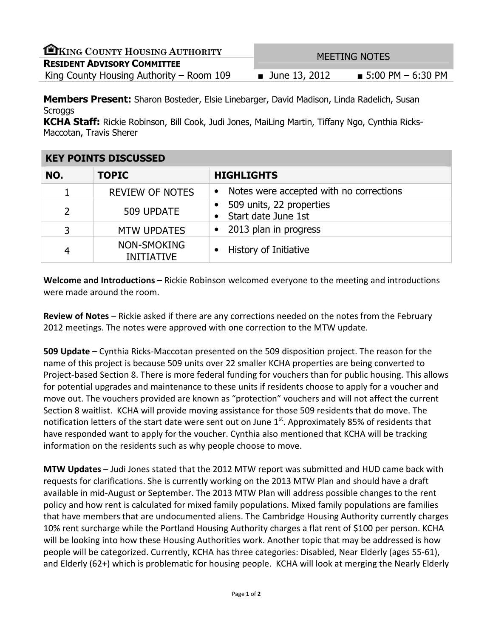| EKING COUNTY HOUSING AUTHORITY           | <b>MEETING NOTES</b> |                                  |
|------------------------------------------|----------------------|----------------------------------|
| <b>RESIDENT ADVISORY COMMITTEE</b>       |                      |                                  |
| King County Housing Authority – Room 109 | <b>June 13, 2012</b> | $\blacksquare$ 5:00 PM – 6:30 PM |
|                                          |                      |                                  |

**Members Present:** Sharon Bosteder, Elsie Linebarger, David Madison, Linda Radelich, Susan **Scroggs** 

KCHA Staff: Rickie Robinson, Bill Cook, Judi Jones, MaiLing Martin, Tiffany Ngo, Cynthia Ricks-Maccotan, Travis Sherer

| <b>KEY POINTS DISCUSSED</b> |                                  |                                                      |
|-----------------------------|----------------------------------|------------------------------------------------------|
| NO.                         | <b>TOPIC</b>                     | <b>HIGHLIGHTS</b>                                    |
|                             | <b>REVIEW OF NOTES</b>           | Notes were accepted with no corrections<br>$\bullet$ |
| $\overline{2}$              | 509 UPDATE                       | 509 units, 22 properties<br>Start date June 1st      |
| 3                           | <b>MTW UPDATES</b>               | 2013 plan in progress<br>$\bullet$                   |
| 4                           | NON-SMOKING<br><b>INITIATIVE</b> | History of Initiative                                |

Welcome and Introductions – Rickie Robinson welcomed everyone to the meeting and introductions were made around the room.

Review of Notes – Rickie asked if there are any corrections needed on the notes from the February 2012 meetings. The notes were approved with one correction to the MTW update.

509 Update – Cynthia Ricks-Maccotan presented on the 509 disposition project. The reason for the name of this project is because 509 units over 22 smaller KCHA properties are being converted to Project-based Section 8. There is more federal funding for vouchers than for public housing. This allows for potential upgrades and maintenance to these units if residents choose to apply for a voucher and move out. The vouchers provided are known as "protection" vouchers and will not affect the current Section 8 waitlist. KCHA will provide moving assistance for those 509 residents that do move. The notification letters of the start date were sent out on June  $1<sup>st</sup>$ . Approximately 85% of residents that have responded want to apply for the voucher. Cynthia also mentioned that KCHA will be tracking information on the residents such as why people choose to move.

MTW Updates – Judi Jones stated that the 2012 MTW report was submitted and HUD came back with requests for clarifications. She is currently working on the 2013 MTW Plan and should have a draft available in mid-August or September. The 2013 MTW Plan will address possible changes to the rent policy and how rent is calculated for mixed family populations. Mixed family populations are families that have members that are undocumented aliens. The Cambridge Housing Authority currently charges 10% rent surcharge while the Portland Housing Authority charges a flat rent of \$100 per person. KCHA will be looking into how these Housing Authorities work. Another topic that may be addressed is how people will be categorized. Currently, KCHA has three categories: Disabled, Near Elderly (ages 55-61), and Elderly (62+) which is problematic for housing people. KCHA will look at merging the Nearly Elderly